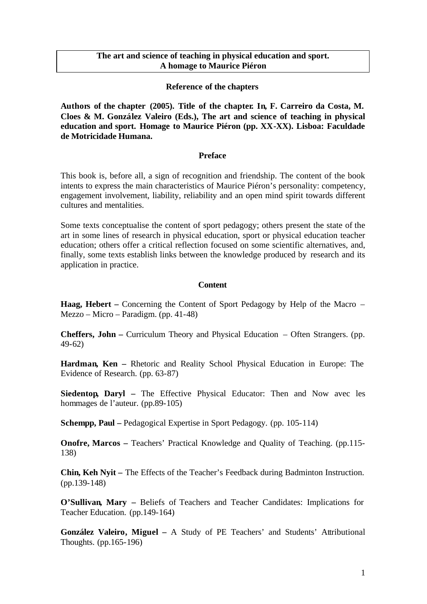## **The art and science of teaching in physical education and sport. A homage to Maurice Piéron**

## **Reference of the chapters**

**Authors of the chapter (2005). Title of the chapter. In, F. Carreiro da Costa, M. Cloes & M. González Valeiro (Eds.), The art and science of teaching in physical education and sport. Homage to Maurice Piéron (pp. XX-XX). Lisboa: Faculdade de Motricidade Humana.**

## **Preface**

This book is, before all, a sign of recognition and friendship. The content of the book intents to express the main characteristics of Maurice Piéron's personality: competency, engagement involvement, liability, reliability and an open mind spirit towards different cultures and mentalities.

Some texts conceptualise the content of sport pedagogy; others present the state of the art in some lines of research in physical education, sport or physical education teacher education; others offer a critical reflection focused on some scientific alternatives, and, finally, some texts establish links between the knowledge produced by research and its application in practice.

## **Content**

**Haag, Hebert –** Concerning the Content of Sport Pedagogy by Help of the Macro – Mezzo – Micro – Paradigm. (pp. 41-48)

**Cheffers, John –** Curriculum Theory and Physical Education – Often Strangers. (pp. 49-62)

**Hardman, Ken –** Rhetoric and Reality School Physical Education in Europe: The Evidence of Research. (pp. 63-87)

**Siedentop, Daryl –** The Effective Physical Educator: Then and Now avec les hommages de l'auteur. (pp.89-105)

**Schempp, Paul –** Pedagogical Expertise in Sport Pedagogy. (pp. 105-114)

**Onofre, Marcos –** Teachers' Practical Knowledge and Quality of Teaching. (pp.115-138)

**Chin, Keh Nyit –** The Effects of the Teacher's Feedback during Badminton Instruction. (pp.139-148)

**O'Sullivan, Mary –** Beliefs of Teachers and Teacher Candidates: Implications for Teacher Education. (pp.149-164)

**González Valeiro, Miguel –** A Study of PE Teachers' and Students' Attributional Thoughts. (pp.165-196)